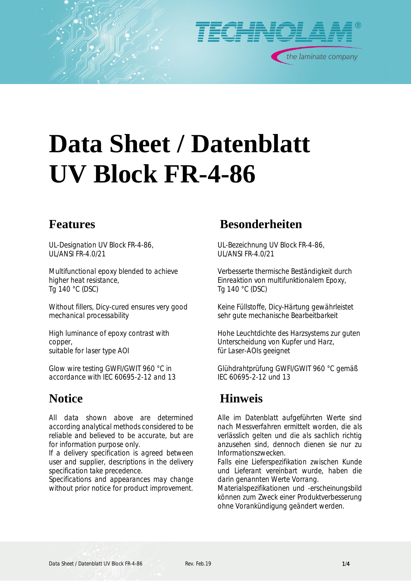

# **Data Sheet / Datenblatt UV Block FR-4-86**

*UL-Designation UV Block FR-4-86, UL/ANSI FR-4.0/21*

*Multifunctional epoxy blended to achieve higher heat resistance, Tg 140 °C (DSC)*

*Without fillers, Dicy-cured ensures very good mechanical processability*

*High luminance of epoxy contrast with copper, suitable for laser type AOI*

*Glow wire testing GWFI/GWIT 960 °C in accordance with IEC 60695-2-12 and 13*

*All data shown above are determined according analytical methods considered to be reliable and believed to be accurate, but are for information purpose only.*

*If a delivery specification is agreed between user and supplier, descriptions in the delivery specification take precedence.*

*Specifications and appearances may change without prior notice for product improvement.*

### **Features Besonderheiten**

*UL-Bezeichnung UV Block FR-4-86, UL/ANSI FR-4.0/21*

*Verbesserte thermische Beständigkeit durch Einreaktion von multifunktionalem Epoxy, Tg 140 °C (DSC)*

*Keine Füllstoffe, Dicy-Härtung gewährleistet sehr gute mechanische Bearbeitbarkeit*

*Hohe Leuchtdichte des Harzsystems zur guten Unterscheidung von Kupfer und Harz, für Laser-AOIs geeignet*

*Glühdrahtprüfung GWFI/GWIT 960 °C gemäß IEC 60695-2-12 und 13*

### **Notice Hinweis**

*Alle im Datenblatt aufgeführten Werte sind nach Messverfahren ermittelt worden, die als verlässlich gelten und die als sachlich richtig anzusehen sind, dennoch dienen sie nur zu Informationszwecken.*

*Falls eine Lieferspezifikation zwischen Kunde und Lieferant vereinbart wurde, haben die darin genannten Werte Vorrang.*

*Materialspezifikationen und -erscheinungsbild können zum Zweck einer Produktverbesserung ohne Vorankündigung geändert werden.*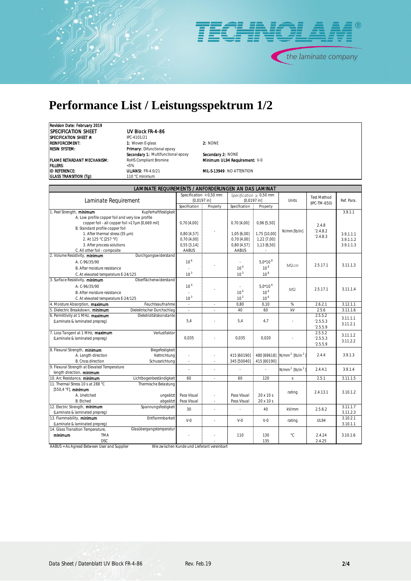

## **Performance List / Leistungsspektrum 1/2**

*Revision Date: February 2019 SPECIFICATION SHEET UV Block FR-4-86 SPECIFICATION SHEET #: IPC-4101/21*<br>**REINFORCEMENT:** *A:**I:**Vioven E-*

*REINFORCEMENT: 1: Woven E-glass 2: NONE RESIN SYSTEM: Primary: Difunctional epoxy Secondary 1: Multifunctional epoxy Secondary 2: NONE FILLERS: <5% ID REFERENCE: UL/ANSI: FR-4.0/21 MIL-S-13949 : NO ATTENTION GLASS TRANSITION (Tg): 110 °C minimum*

*FLAME RETARDANT MECHANISM: RoHS Compliant Bromine Minimum UL94 Requirement: V-0*

| LAMINATE REQUIREMENTS / ANFORDERUNGEN AN DAS LAMINAT                                    |                 |                           |                 |                              |                              |                                    |            |  |
|-----------------------------------------------------------------------------------------|-----------------|---------------------------|-----------------|------------------------------|------------------------------|------------------------------------|------------|--|
|                                                                                         |                 | Specification $<$ 0,50 mm |                 | Specification $\geq 0.50$ mm |                              | <b>Test Method</b><br>(IPC-TM-650) | Ref. Para. |  |
| Laminate Requirement                                                                    |                 | $[0,0197$ in]             |                 | [0,0197 in]                  |                              |                                    |            |  |
|                                                                                         | Specification   | Property                  | Specification   | Property                     |                              |                                    |            |  |
| Kupferhaftfestigkeit<br>1. Peel Strength, minimum                                       |                 |                           |                 |                              |                              |                                    | 3.9.1.1    |  |
| A. Low profile copper foil and very low profile                                         |                 |                           |                 |                              |                              |                                    |            |  |
| copper foil - all copper foil >17µm [0,669 mil]                                         | $0,70$ [4,00]   |                           | $0,70$ [4,00]   | $0,96$ [5,50]                |                              | 2.4.8                              |            |  |
| B. Standard profile copper foil                                                         |                 |                           |                 |                              | N/mm [lb/in]                 | 2.4.8.2                            |            |  |
| 1. After thermal stress (35 µm)                                                         | $0,80$ [4,57]   |                           | 1,05 [6,00]     | 1,75 [10,00]                 |                              | 2.4.8.3                            | 3.9.1.1.1  |  |
| 2. At 125 °C [257 °F]                                                                   | $0,70$ [4,00]   |                           | $0,70$ [4,00]   | 1,22 [7,00]                  |                              |                                    | 3.9.1.1.2  |  |
| 3. After process solutions                                                              | $0,55$ [3,14]   |                           | $0,80$ [4,57]   | 1,13 [6,50]                  |                              |                                    | 3.9.1.1.3  |  |
| C. All other foil - composite<br>2. Volume Resistivity, minimum<br>Durchgangswiderstand | AABUS           |                           | <b>AABUS</b>    |                              |                              |                                    |            |  |
|                                                                                         | 10 <sup>6</sup> |                           |                 | $5.0*10^{8}$                 |                              |                                    |            |  |
| A. C-96/35/90                                                                           |                 |                           |                 |                              | $M\Omega$ cm                 | 2.5.17.1                           | 3.11.1.3   |  |
| <b>B.</b> After moisture resistance                                                     |                 |                           | 10 <sup>4</sup> | 10 <sup>8</sup>              |                              |                                    |            |  |
| C. At elevated temperature E-24/125                                                     | 10 <sup>3</sup> |                           | 10 <sup>3</sup> | $10^8$                       |                              |                                    |            |  |
| 3. Surface Resistivity, minimum<br>Oberflächenwiderstand                                |                 |                           |                 |                              |                              |                                    |            |  |
| A. C-96/35/90                                                                           | 10 <sup>4</sup> |                           |                 | $5.0*10^{6}$                 | $M\Omega$                    | 2.5.17.1                           | 3.11.1.4   |  |
| B. After moisture resistance                                                            |                 |                           | 10 <sup>4</sup> | 10 <sup>6</sup>              |                              |                                    |            |  |
| C. At elevated temperature E-24/125                                                     | 10 <sup>3</sup> |                           | 10 <sup>3</sup> | 10 <sup>6</sup>              |                              |                                    |            |  |
| 4. Moisture Absorption, maximum<br>Feuchteaufnahme                                      | $\sim$          | $\overline{\phantom{a}}$  | 0,80            | 0,10                         | $\%$                         | 2.6.2.1                            | 3.12.1.1   |  |
| 5. Dielectric Breakdown, <b>minimum</b><br>Dielektrischer Durchschlag                   |                 |                           | 40              | 60                           | kV                           | 2.5.6                              | 3.11.16    |  |
| 6. Permittivity at 1 MHz, maximum<br>Dieletrizitätskonstante                            |                 |                           |                 |                              |                              | 2.5.5.2                            | 3.11.1.1   |  |
| (Laminate & laminated prepreg)                                                          | 5,4             |                           | 5.4             | 4.7                          |                              | 2.5.5.3                            | 3.11.2.1   |  |
|                                                                                         |                 |                           |                 |                              |                              | 2.5.5.9                            |            |  |
| 7. Loss Tangent at 1 MHz, maximum<br>Verlustfaktor                                      |                 |                           |                 |                              |                              | 2.5.5.2                            | 3.11.1.2   |  |
| (Laminate & laminated prepreg)                                                          | 0.035           |                           | 0.035           | 0.020                        |                              | 2.5.5.3                            | 3.11.2.2   |  |
|                                                                                         |                 |                           |                 |                              |                              | 2.5.5.9                            |            |  |
| 8. Flexural Strength, minimum<br>Biegefestigkeit<br>A. Length direction<br>Kettrichtung |                 |                           | 415 [60190]     | 480 [69618]                  | $N/mm^2$ [lb/in <sup>2</sup> | 2.4.4                              | 3.9.1.3    |  |
| <b>B.</b> Cross direction<br>Schussrichtung                                             | ×,              | ÷.                        | 345 [50040]     | 415 [60190]                  |                              |                                    |            |  |
| 9. Flexural Strength at Elevated Temperature                                            |                 |                           |                 |                              |                              |                                    |            |  |
| length direction, minimum                                                               |                 |                           |                 |                              | $N/mm^2$ [lb/in <sup>2</sup> | 2.4.4.1                            | 3.9.1.4    |  |
| Lichtbogenbeständigkeit<br>10. Arc Resistance, minimum                                  | 60              |                           | 60              | 120                          | S                            | 2.5.1                              | 3.11.1.5   |  |
| 11. Thermal Stress 10 s at 288 °C<br>Thermische Belastung                               |                 |                           |                 |                              |                              |                                    |            |  |
| [550,4 °F], minimum                                                                     |                 |                           |                 |                              |                              |                                    |            |  |
| A. Unetched<br>ungeätzt                                                                 | Pass Visual     |                           | Pass Visual     | $20 \times 10 \text{ s}$     | rating                       | 2.4.13.1                           | 3.10.1.2   |  |
| <b>B.</b> Etched<br>abgeätzt                                                            | Pass Visual     | $\overline{\phantom{a}}$  | Pass Visual     | 20 x 10 s                    |                              |                                    |            |  |
| 12. Electric Strength, minimum<br>Spannungsfestigkeit                                   |                 |                           |                 |                              |                              |                                    | 3.11.1.7   |  |
| (Laminate & laminated prepreg)                                                          | 30              | ÷.                        |                 | 40                           | kV/mm                        | 2.5.6.2                            | 3.11.2.3   |  |
| Entflammbarkeit<br>13. Flammability, minimum                                            | $V - Q$         |                           | $V - Q$         | $V - Q$                      |                              | <b>UL94</b>                        | 3.10.2.1   |  |
| (Laminate & laminated prepreg)                                                          |                 |                           |                 |                              | rating                       |                                    | 3.10.1.1   |  |
| Glasübergangstemperatui<br>14. Glass Transition Temperature,                            |                 |                           |                 |                              |                              |                                    |            |  |
| minimum<br><b>TMA</b>                                                                   |                 |                           | 110             | 130                          | °C                           | 2.4.24                             | 3.10.16    |  |
| <b>DSC</b>                                                                              |                 |                           |                 | 135                          |                              | 2.4.25                             |            |  |

*AABUS = As Agreed Between User and Supplier Wie zwischen Kunde und Lieferant vereinbart*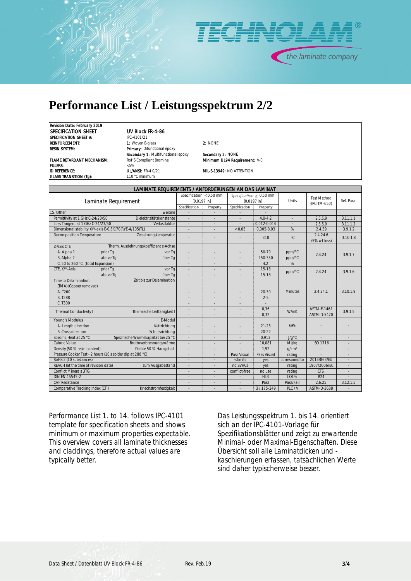

### **Performance List / Leistungsspektrum 2/2**

*Revision Date: February 2019 SPECIFICATION SHEET UV Block FR-4-86 SPECIFICATION SHEET #: IPC-4101/21*

*REINFORCEMENT: 1: Woven E-glass 2: NONE RESIN SYSTEM: Primary: Difunctional epoxy Secondary 1: Multifunctional epoxy Secondary 2: NONE FLAME RETARDANT MECHANISM: RoHS Compliant Bromine Minimum UL94 Requirement: V-0 FILLERS: <5% ID REFERENCE: UL/ANSI: FR-4.0/21 MIL-S-13949 : NO ATTENTION GLASS TRANSITION (Tg): 110 °C minimum*

| LAMINATE REQUIREMENTS / ANFORDERUNGEN AN DAS LAMINAT          |               |                           |                  |                              |                |                                    |            |  |
|---------------------------------------------------------------|---------------|---------------------------|------------------|------------------------------|----------------|------------------------------------|------------|--|
|                                                               |               | Specification $<$ 0,50 mm |                  | Specification $\geq 0.50$ mm |                | <b>Test Method</b><br>(IPC-TM-650) | Ref. Para. |  |
| Laminate Requirement                                          |               | [0,0197]                  |                  | [0,0197]                     |                |                                    |            |  |
|                                                               | Specification | Property                  | Specification    | Property                     |                |                                    |            |  |
| 15. Other<br>weitere                                          |               |                           |                  |                              |                |                                    |            |  |
| Permittivity at 1 GHz C-24/23/50<br>Dielektrizitätskonstante  |               |                           |                  | $4.0 - 4.2$                  | i,             | 2.5.5.9                            | 3.11.1.1   |  |
| Loss Tangent at 1 GHz C-24/23/50<br>Verlustfaktor             | i.            |                           |                  | 0,012-0,014                  | ÷              | 2.5.5.9                            | 3.11.1.2   |  |
| Dimensional stability X/Y-axis E-0,5/170(R)/E-4/105(TL)       |               |                           | < 0.05           | $0,005 - 0,03$               | %              | 2.4.39                             | 3.9.1.2    |  |
| Decomposition Temperature<br>Zersetzungstemperatur            |               |                           |                  | 310                          | $^{\circ}C$    | 2.4.24.6<br>(5% wt loss)           | 3.10.1.8   |  |
| Therm. Ausdehnungskoeffizient z-Achse<br>Z-Axis CTE           |               |                           |                  |                              |                |                                    |            |  |
| A. Alpha 1<br>prior Ta<br>vor Ta                              |               |                           |                  | 50-70                        | ppm/°C         | 2.4.24                             | 3.9.1.7    |  |
| B. Alpha 2<br>above Tq<br>über Ta                             |               |                           |                  | $250 - 350$                  | ppm/°C         |                                    |            |  |
| C. 50 to 260 °C, (Total Expansion)                            |               |                           |                  | 4,2                          | %              |                                    |            |  |
| CTE. X/Y-Axis<br>prior Ta<br>vor Ta                           |               |                           |                  | $15 - 18$                    | ppm/°C         | 2.4.24                             | 3.9.16     |  |
| above Tq<br>über Ta                                           |               |                           |                  | $15 - 18$                    |                |                                    |            |  |
| Zeit bis zur Delamination<br>Time to Delamination             |               |                           |                  |                              |                |                                    |            |  |
| (TMA) (Copper removed)                                        |               |                           |                  |                              |                |                                    |            |  |
| A. T <sub>260</sub>                                           |               |                           |                  | $20 - 30$                    | <b>Minutes</b> | 2.4.24.1                           | 3.10.1.9   |  |
| <b>B.</b> T288                                                |               |                           |                  | $2 - 5$                      |                |                                    |            |  |
| C. T300                                                       |               |                           |                  |                              |                |                                    |            |  |
| Thermal Conductivity I<br>Thermische Leitfähigkeit I          | ×.            |                           |                  | 0,36                         | W/mK           | ASTM-E-1461                        | 3.9.1.5    |  |
|                                                               |               |                           |                  | 0.32                         |                | ASTM-D-5470                        |            |  |
| Young's Modulus<br>E-Modul                                    |               |                           |                  |                              |                |                                    |            |  |
| A. Length direction<br>Kettrichtung                           |               |                           |                  | $21 - 23$                    | GPa            |                                    |            |  |
| <b>B.</b> Cross direction<br>Schussrichtung                   |               |                           |                  | $20 - 22$                    |                |                                    |            |  |
| Spezifische Wärmekapzität bei 25 °C<br>Specific Heat at 25 °C | J.            |                           | ٠                | 0.913                        | $J/q^{\circ}C$ |                                    | ٠          |  |
| Caloric Value<br>Bruttoverbrennungswärme                      |               |                           |                  | 10.081                       | MJ/kg          | ISO 1716                           |            |  |
| Density (50 % resin content)<br>Dichte 50 % Harzgehalt        |               |                           |                  | 1.92                         | $q/cm^3$       |                                    |            |  |
| Pressure Cooker Test - 2 hours (10 s solder dip at 288 °C)    |               |                           | Pass Visual      | Pass Visual                  | rating         |                                    |            |  |
| RoHS 2 (10 substances)                                        |               |                           | $\langle$ limits | yes                          | correspond to  | 2015/863/EU                        |            |  |
| REACH (at the time of revision date)<br>zum Ausgabestand      |               |                           | no SVHCs         | yes                          | rating         | 1907/2006/EC                       |            |  |
| Conflict Minerals 3TG                                         | i.            |                           | conflict-free    | no use                       | rating         | <b>CFSI</b>                        |            |  |
| DIN EN 45545-2                                                |               |                           |                  | HL3                          | LOI %          | R <sub>24</sub>                    |            |  |
| <b>CAF Resistance</b>                                         | ٠             |                           |                  | Pass                         | Pass/Fail      | 2.6.25                             | 3.12.1.5   |  |
| Comparative Tracking Index (CTI)<br>Kriechstromfestigkeit     |               |                           |                  | $3/175 - 249$                | PLC/V          | ASTM-D-3638                        |            |  |

*Performance List 1. to 14. follows IPC-4101 template for specification sheets and shows minimum or maximum properties expectable. This overview covers all laminate thicknesses and claddings, therefore actual values are typically better.*

*Das Leistungsspektrum 1. bis 14. orientiert sich an der IPC-4101-Vorlage für Spezifikationsblätter und zeigt zu erwartende Minimal- oder Maximal-Eigenschaften. Diese Übersicht soll alle Laminatdicken und kaschierungen erfassen, tatsächlichen Werte sind daher typischerweise besser.*